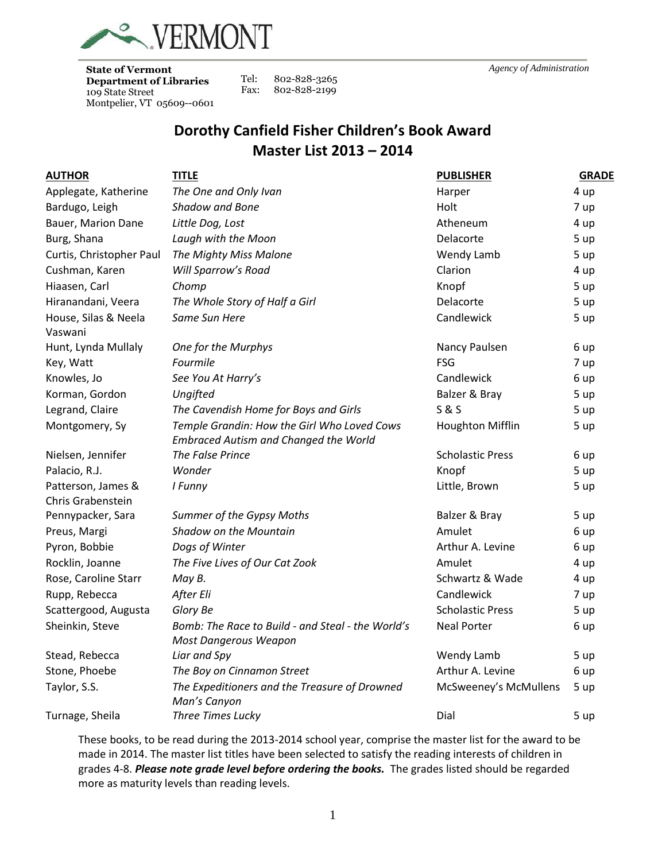

**State of Vermont**<br> **Department of Libraries** Tel: 802-828-3265 **Department of Libraries**  109 State Street Montpelier, VT 05609--0601

802-828-3265 Fax: 802-828-2199

# **Dorothy Canfield Fisher Children's Book Award Master List 2013 – 2014**

| <b>AUTHOR</b>                           | <b>TITLE</b>                                                                                | <b>PUBLISHER</b>        | <b>GRADE</b> |
|-----------------------------------------|---------------------------------------------------------------------------------------------|-------------------------|--------------|
| Applegate, Katherine                    | The One and Only Ivan                                                                       | Harper                  | 4 up         |
| Bardugo, Leigh                          | <b>Shadow and Bone</b>                                                                      | Holt                    | 7 up         |
| Bauer, Marion Dane                      | Little Dog, Lost                                                                            | Atheneum                | 4 up         |
| Burg, Shana                             | Laugh with the Moon                                                                         | Delacorte               | 5 up         |
| Curtis, Christopher Paul                | The Mighty Miss Malone                                                                      | Wendy Lamb              | 5 up         |
| Cushman, Karen                          | Will Sparrow's Road                                                                         | Clarion                 | 4 up         |
| Hiaasen, Carl                           | Chomp                                                                                       | Knopf                   | 5 up         |
| Hiranandani, Veera                      | The Whole Story of Half a Girl                                                              | Delacorte               | 5 up         |
| House, Silas & Neela<br>Vaswani         | Same Sun Here                                                                               | Candlewick              | 5 up         |
| Hunt, Lynda Mullaly                     | One for the Murphys                                                                         | Nancy Paulsen           | 6 up         |
| Key, Watt                               | Fourmile                                                                                    | <b>FSG</b>              | 7 up         |
| Knowles, Jo                             | See You At Harry's                                                                          | Candlewick              | 6 up         |
| Korman, Gordon                          | Ungifted                                                                                    | Balzer & Bray           | 5 up         |
| Legrand, Claire                         | The Cavendish Home for Boys and Girls                                                       | S & S                   | 5 up         |
| Montgomery, Sy                          | Temple Grandin: How the Girl Who Loved Cows<br><b>Embraced Autism and Changed the World</b> | <b>Houghton Mifflin</b> | 5 up         |
| Nielsen, Jennifer                       | The False Prince                                                                            | <b>Scholastic Press</b> | 6 up         |
| Palacio, R.J.                           | Wonder                                                                                      | Knopf                   | 5 up         |
| Patterson, James &<br>Chris Grabenstein | I Funny                                                                                     | Little, Brown           | 5 up         |
| Pennypacker, Sara                       | Summer of the Gypsy Moths                                                                   | Balzer & Bray           | 5 up         |
| Preus, Margi                            | Shadow on the Mountain                                                                      | Amulet                  | 6 up         |
| Pyron, Bobbie                           | Dogs of Winter                                                                              | Arthur A. Levine        | 6 up         |
| Rocklin, Joanne                         | The Five Lives of Our Cat Zook                                                              | Amulet                  | 4 up         |
| Rose, Caroline Starr                    | May B.                                                                                      | Schwartz & Wade         | 4 up         |
| Rupp, Rebecca                           | After Eli                                                                                   | Candlewick              | 7 up         |
| Scattergood, Augusta                    | Glory Be                                                                                    | <b>Scholastic Press</b> | 5 up         |
| Sheinkin, Steve                         | Bomb: The Race to Build - and Steal - the World's<br>Most Dangerous Weapon                  | <b>Neal Porter</b>      | 6 up         |
| Stead, Rebecca                          | Liar and Spy                                                                                | Wendy Lamb              | 5 up         |
| Stone, Phoebe                           | The Boy on Cinnamon Street                                                                  | Arthur A. Levine        | 6 up         |
| Taylor, S.S.                            | The Expeditioners and the Treasure of Drowned<br>Man's Canyon                               | McSweeney's McMullens   | 5 up         |
| Turnage, Sheila                         | Three Times Lucky                                                                           | Dial                    | 5 up         |

These books, to be read during the 2013-2014 school year, comprise the master list for the award to be made in 2014. The master list titles have been selected to satisfy the reading interests of children in grades 4-8. *Please note grade level before ordering the books.* The grades listed should be regarded more as maturity levels than reading levels.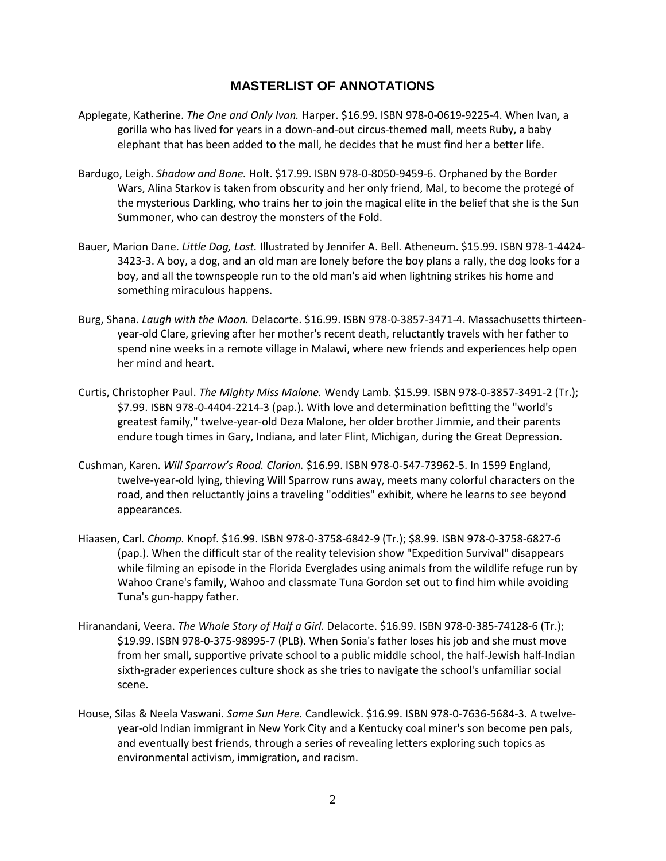### **MASTERLIST OF ANNOTATIONS**

- Applegate, Katherine. *The One and Only Ivan.* Harper. \$16.99. ISBN 978-0-0619-9225-4. When Ivan, a gorilla who has lived for years in a down-and-out circus-themed mall, meets Ruby, a baby elephant that has been added to the mall, he decides that he must find her a better life.
- Bardugo, Leigh. *Shadow and Bone.* Holt. \$17.99. ISBN 978-0-8050-9459-6. Orphaned by the Border Wars, Alina Starkov is taken from obscurity and her only friend, Mal, to become the protegé of the mysterious Darkling, who trains her to join the magical elite in the belief that she is the Sun Summoner, who can destroy the monsters of the Fold.
- Bauer, Marion Dane. *Little Dog, Lost.* Illustrated by Jennifer A. Bell. Atheneum. \$15.99. ISBN 978-1-4424- 3423-3. A boy, a dog, and an old man are lonely before the boy plans a rally, the dog looks for a boy, and all the townspeople run to the old man's aid when lightning strikes his home and something miraculous happens.
- Burg, Shana. *Laugh with the Moon.* Delacorte. \$16.99. ISBN 978-0-3857-3471-4. Massachusetts thirteenyear-old Clare, grieving after her mother's recent death, reluctantly travels with her father to spend nine weeks in a remote village in Malawi, where new friends and experiences help open her mind and heart.
- Curtis, Christopher Paul. *The Mighty Miss Malone.* Wendy Lamb. \$15.99. ISBN 978-0-3857-3491-2 (Tr.); \$7.99. ISBN 978-0-4404-2214-3 (pap.). With love and determination befitting the "world's greatest family," twelve-year-old Deza Malone, her older brother Jimmie, and their parents endure tough times in Gary, Indiana, and later Flint, Michigan, during the Great Depression.
- Cushman, Karen. *Will Sparrow's Road. Clarion.* \$16.99. ISBN 978-0-547-73962-5. In 1599 England, twelve-year-old lying, thieving Will Sparrow runs away, meets many colorful characters on the road, and then reluctantly joins a traveling "oddities" exhibit, where he learns to see beyond appearances.
- Hiaasen, Carl. *Chomp.* Knopf. \$16.99. ISBN 978-0-3758-6842-9 (Tr.); \$8.99. ISBN 978-0-3758-6827-6 (pap.). When the difficult star of the reality television show "Expedition Survival" disappears while filming an episode in the Florida Everglades using animals from the wildlife refuge run by Wahoo Crane's family, Wahoo and classmate Tuna Gordon set out to find him while avoiding Tuna's gun-happy father.
- Hiranandani, Veera. *The Whole Story of Half a Girl.* Delacorte. \$16.99. ISBN 978-0-385-74128-6 (Tr.); \$19.99. ISBN 978-0-375-98995-7 (PLB). When Sonia's father loses his job and she must move from her small, supportive private school to a public middle school, the half-Jewish half-Indian sixth-grader experiences culture shock as she tries to navigate the school's unfamiliar social scene.
- House, Silas & Neela Vaswani. *Same Sun Here.* Candlewick. \$16.99. ISBN 978-0-7636-5684-3. A twelveyear-old Indian immigrant in New York City and a Kentucky coal miner's son become pen pals, and eventually best friends, through a series of revealing letters exploring such topics as environmental activism, immigration, and racism.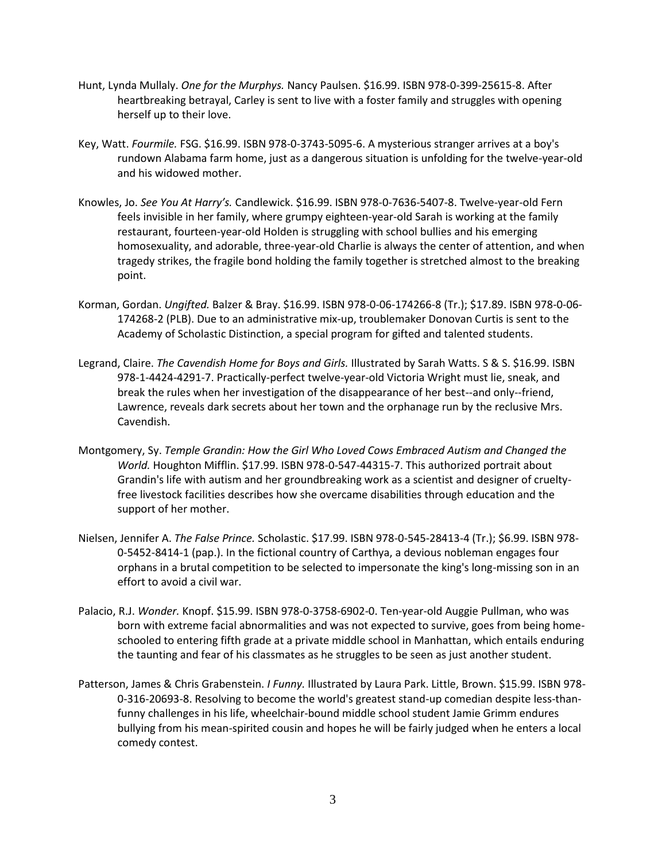- Hunt, Lynda Mullaly. *One for the Murphys.* Nancy Paulsen. \$16.99. ISBN 978-0-399-25615-8. After heartbreaking betrayal, Carley is sent to live with a foster family and struggles with opening herself up to their love.
- Key, Watt. *Fourmile.* FSG. \$16.99. ISBN 978-0-3743-5095-6. A mysterious stranger arrives at a boy's rundown Alabama farm home, just as a dangerous situation is unfolding for the twelve-year-old and his widowed mother.
- Knowles, Jo. *See You At Harry's.* Candlewick. \$16.99. ISBN 978-0-7636-5407-8. Twelve-year-old Fern feels invisible in her family, where grumpy eighteen-year-old Sarah is working at the family restaurant, fourteen-year-old Holden is struggling with school bullies and his emerging homosexuality, and adorable, three-year-old Charlie is always the center of attention, and when tragedy strikes, the fragile bond holding the family together is stretched almost to the breaking point.
- Korman, Gordan. *Ungifted.* Balzer & Bray. \$16.99. ISBN 978-0-06-174266-8 (Tr.); \$17.89. ISBN 978-0-06- 174268-2 (PLB). Due to an administrative mix-up, troublemaker Donovan Curtis is sent to the Academy of Scholastic Distinction, a special program for gifted and talented students.
- Legrand, Claire. *The Cavendish Home for Boys and Girls.* Illustrated by Sarah Watts. S & S. \$16.99. ISBN 978-1-4424-4291-7. Practically-perfect twelve-year-old Victoria Wright must lie, sneak, and break the rules when her investigation of the disappearance of her best--and only--friend, Lawrence, reveals dark secrets about her town and the orphanage run by the reclusive Mrs. Cavendish.
- Montgomery, Sy. *Temple Grandin: How the Girl Who Loved Cows Embraced Autism and Changed the World.* Houghton Mifflin. \$17.99. ISBN 978-0-547-44315-7. This authorized portrait about Grandin's life with autism and her groundbreaking work as a scientist and designer of crueltyfree livestock facilities describes how she overcame disabilities through education and the support of her mother.
- Nielsen, Jennifer A. *The False Prince.* Scholastic. \$17.99. ISBN 978-0-545-28413-4 (Tr.); \$6.99. ISBN 978- 0-5452-8414-1 (pap.). In the fictional country of Carthya, a devious nobleman engages four orphans in a brutal competition to be selected to impersonate the king's long-missing son in an effort to avoid a civil war.
- Palacio, R.J. *Wonder.* Knopf. \$15.99. ISBN 978-0-3758-6902-0. Ten-year-old Auggie Pullman, who was born with extreme facial abnormalities and was not expected to survive, goes from being homeschooled to entering fifth grade at a private middle school in Manhattan, which entails enduring the taunting and fear of his classmates as he struggles to be seen as just another student.
- Patterson, James & Chris Grabenstein. *I Funny.* Illustrated by Laura Park. Little, Brown. \$15.99. ISBN 978- 0-316-20693-8. Resolving to become the world's greatest stand-up comedian despite less-thanfunny challenges in his life, wheelchair-bound middle school student Jamie Grimm endures bullying from his mean-spirited cousin and hopes he will be fairly judged when he enters a local comedy contest.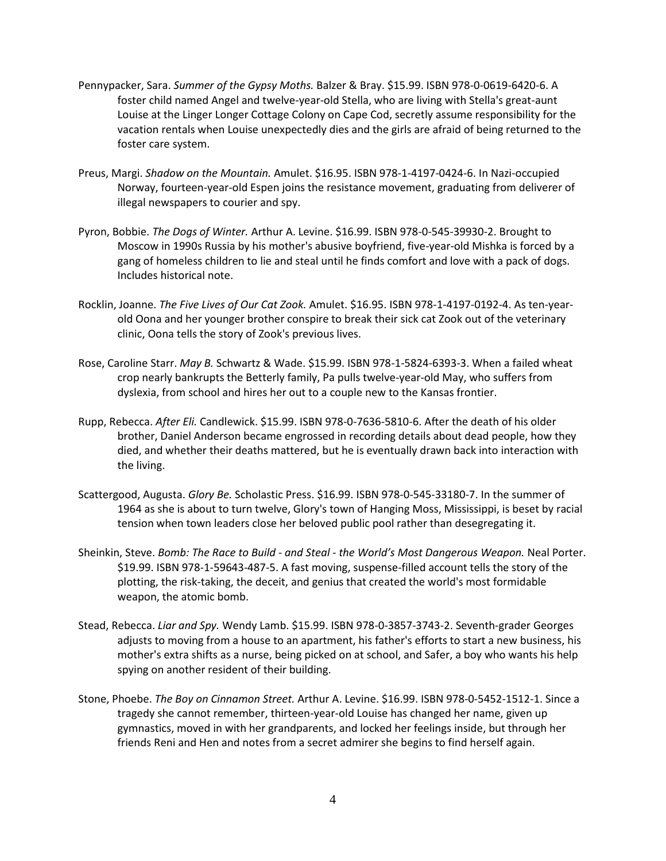- Pennypacker, Sara. *Summer of the Gypsy Moths.* Balzer & Bray. \$15.99. ISBN 978-0-0619-6420-6. A foster child named Angel and twelve-year-old Stella, who are living with Stella's great-aunt Louise at the Linger Longer Cottage Colony on Cape Cod, secretly assume responsibility for the vacation rentals when Louise unexpectedly dies and the girls are afraid of being returned to the foster care system.
- Preus, Margi. *Shadow on the Mountain.* Amulet. \$16.95. ISBN 978-1-4197-0424-6. In Nazi-occupied Norway, fourteen-year-old Espen joins the resistance movement, graduating from deliverer of illegal newspapers to courier and spy.
- Pyron, Bobbie. *The Dogs of Winter.* Arthur A. Levine. \$16.99. ISBN 978-0-545-39930-2. Brought to Moscow in 1990s Russia by his mother's abusive boyfriend, five-year-old Mishka is forced by a gang of homeless children to lie and steal until he finds comfort and love with a pack of dogs. Includes historical note.
- Rocklin, Joanne. *The Five Lives of Our Cat Zook.* Amulet. \$16.95. ISBN 978-1-4197-0192-4. As ten-yearold Oona and her younger brother conspire to break their sick cat Zook out of the veterinary clinic, Oona tells the story of Zook's previous lives.
- Rose, Caroline Starr. *May B.* Schwartz & Wade. \$15.99. ISBN 978-1-5824-6393-3. When a failed wheat crop nearly bankrupts the Betterly family, Pa pulls twelve-year-old May, who suffers from dyslexia, from school and hires her out to a couple new to the Kansas frontier.
- Rupp, Rebecca. *After Eli.* Candlewick. \$15.99. ISBN 978-0-7636-5810-6. After the death of his older brother, Daniel Anderson became engrossed in recording details about dead people, how they died, and whether their deaths mattered, but he is eventually drawn back into interaction with the living.
- Scattergood, Augusta. *Glory Be.* Scholastic Press. \$16.99. ISBN 978-0-545-33180-7. In the summer of 1964 as she is about to turn twelve, Glory's town of Hanging Moss, Mississippi, is beset by racial tension when town leaders close her beloved public pool rather than desegregating it.
- Sheinkin, Steve. *Bomb: The Race to Build - and Steal - the World's Most Dangerous Weapon.* Neal Porter. \$19.99. ISBN 978-1-59643-487-5. A fast moving, suspense-filled account tells the story of the plotting, the risk-taking, the deceit, and genius that created the world's most formidable weapon, the atomic bomb.
- Stead, Rebecca. *Liar and Spy.* Wendy Lamb. \$15.99. ISBN 978-0-3857-3743-2. Seventh-grader Georges adjusts to moving from a house to an apartment, his father's efforts to start a new business, his mother's extra shifts as a nurse, being picked on at school, and Safer, a boy who wants his help spying on another resident of their building.
- Stone, Phoebe. *The Boy on Cinnamon Street.* Arthur A. Levine. \$16.99. ISBN 978-0-5452-1512-1. Since a tragedy she cannot remember, thirteen-year-old Louise has changed her name, given up gymnastics, moved in with her grandparents, and locked her feelings inside, but through her friends Reni and Hen and notes from a secret admirer she begins to find herself again.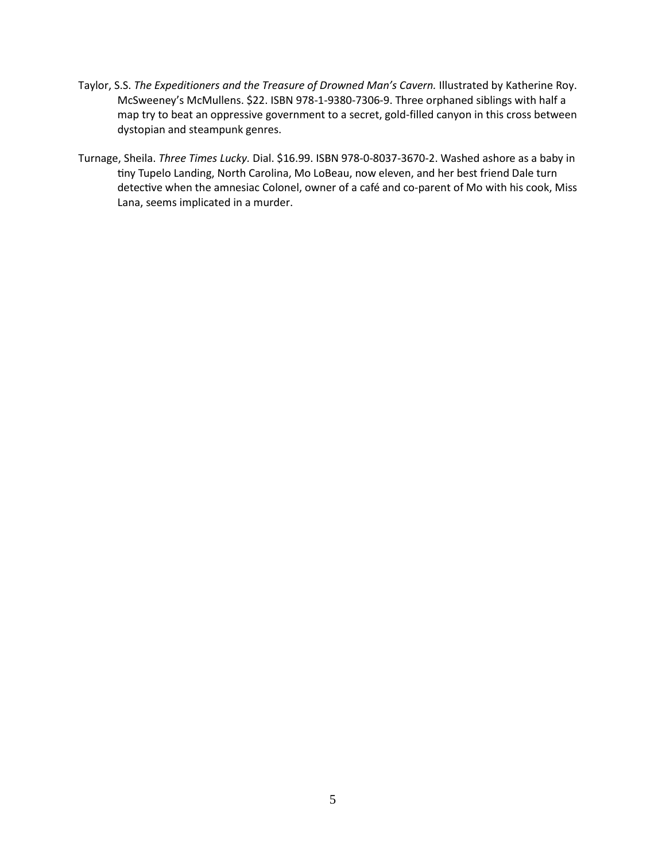- Taylor, S.S. *The Expeditioners and the Treasure of Drowned Man's Cavern.* Illustrated by Katherine Roy. McSweeney's McMullens. \$22. ISBN 978-1-9380-7306-9. Three orphaned siblings with half a map try to beat an oppressive government to a secret, gold-filled canyon in this cross between dystopian and steampunk genres.
- Turnage, Sheila. *Three Times Lucky*. Dial. \$16.99. ISBN 978-0-8037-3670-2. Washed ashore as a baby in tiny Tupelo Landing, North Carolina, Mo LoBeau, now eleven, and her best friend Dale turn detective when the amnesiac Colonel, owner of a café and co-parent of Mo with his cook, Miss Lana, seems implicated in a murder.